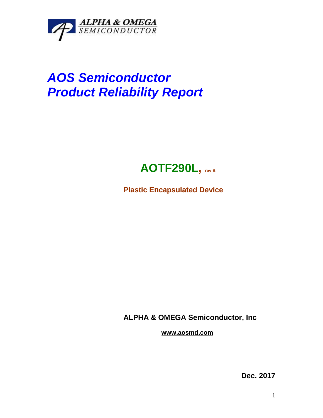

## *AOS Semiconductor Product Reliability Report*



**Plastic Encapsulated Device**

**ALPHA & OMEGA Semiconductor, Inc**

**www.aosmd.com**

**Dec. 2017**